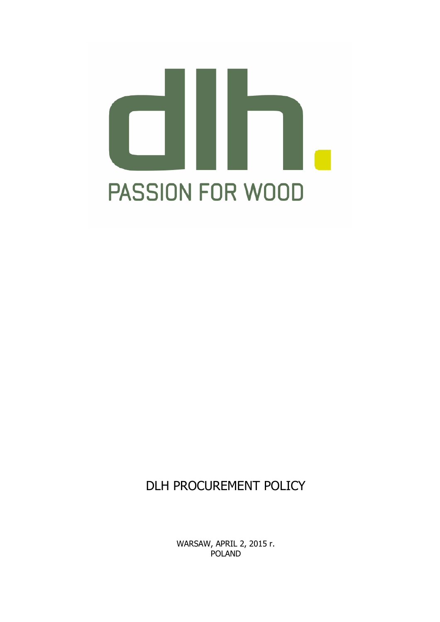# In U **PASSION FOR WOOD**

## DLH PROCUREMENT POLICY

WARSAW, APRIL 2, 2015 r. POLAND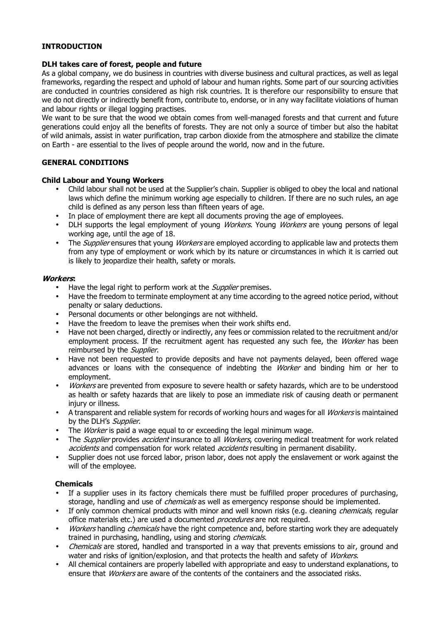#### **INTRODUCTION**

#### **DLH takes care of forest, people and future**

As a global company, we do business in countries with diverse business and cultural practices, as well as legal frameworks, regarding the respect and uphold of labour and human rights. Some part of our sourcing activities are conducted in countries considered as high risk countries. It is therefore our responsibility to ensure that we do not directly or indirectly benefit from, contribute to, endorse, or in any way facilitate violations of human and labour rights or illegal logging practises.

We want to be sure that the wood we obtain comes from well-managed forests and that current and future generations could enjoy all the benefits of forests. They are not only a source of timber but also the habitat of wild animals, assist in water purification, trap carbon dioxide from the atmosphere and stabilize the climate on Earth - are essential to the lives of people around the world, now and in the future.

#### **GENERAL CONDITIONS**

#### **Child Labour and Young Workers**

- Child labour shall not be used at the Supplier's chain. Supplier is obliged to obey the local and national laws which define the minimum working age especially to children. If there are no such rules, an age child is defined as any person less than fifteen years of age.
- In place of employment there are kept all documents proving the age of employees.
- DLH supports the legal employment of young Workers. Young Workers are young persons of legal working age, until the age of 18.
- The *Supplier* ensures that young *Workers* are employed according to applicable law and protects them from any type of employment or work which by its nature or circumstances in which it is carried out is likely to jeopardize their health, safety or morals.

#### **Workers:**

- Have the legal right to perform work at the *Supplier* premises.
- Have the freedom to terminate employment at any time according to the agreed notice period, without penalty or salary deductions.
- Personal documents or other belongings are not withheld.
- Have the freedom to leave the premises when their work shifts end.
- Have not been charged, directly or indirectly, any fees or commission related to the recruitment and/or employment process. If the recruitment agent has requested any such fee, the Worker has been reimbursed by the *Supplier*.
- Have not been requested to provide deposits and have not payments delayed, been offered wage advances or loans with the consequence of indebting the *Worker* and binding him or her to employment.
- Workers are prevented from exposure to severe health or safety hazards, which are to be understood as health or safety hazards that are likely to pose an immediate risk of causing death or permanent injury or illness.
- A transparent and reliable system for records of working hours and wages for all *Workers* is maintained by the DLH's Supplier.
- The *Worker* is paid a wage equal to or exceeding the legal minimum wage.
- The *Supplier* provides *accident* insurance to all *Workers*, covering medical treatment for work related accidents and compensation for work related *accidents* resulting in permanent disability.
- Supplier does not use forced labor, prison labor, does not apply the enslavement or work against the will of the employee.

#### **Chemicals**

- If a supplier uses in its factory chemicals there must be fulfilled proper procedures of purchasing, storage, handling and use of *chemicals* as well as emergency response should be implemented.
- If only common chemical products with minor and well known risks (e.g. cleaning *chemicals*, regular office materials etc.) are used a documented procedures are not required.
- Workers handling chemicals have the right competence and, before starting work they are adequately trained in purchasing, handling, using and storing *chemicals*.
- Chemicals are stored, handled and transported in a way that prevents emissions to air, ground and water and risks of ignition/explosion, and that protects the health and safety of Workers.
- All chemical containers are properly labelled with appropriate and easy to understand explanations, to ensure that *Workers* are aware of the contents of the containers and the associated risks.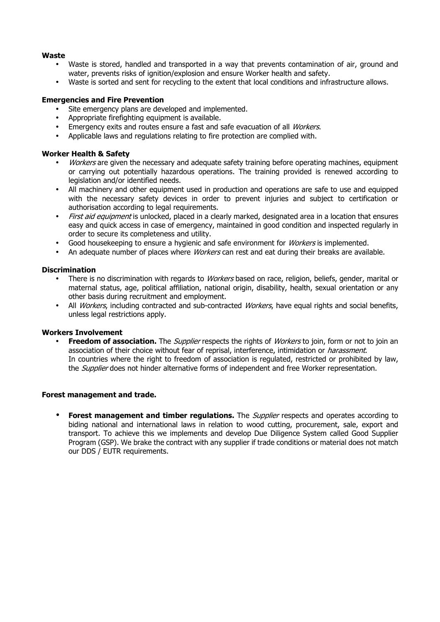#### **Waste**

- Waste is stored, handled and transported in a way that prevents contamination of air, ground and water, prevents risks of ignition/explosion and ensure Worker health and safety.
- Waste is sorted and sent for recycling to the extent that local conditions and infrastructure allows.

#### **Emergencies and Fire Prevention**

- Site emergency plans are developed and implemented.
- Appropriate firefighting equipment is available.
- Emergency exits and routes ensure a fast and safe evacuation of all *Workers*.
- Applicable laws and regulations relating to fire protection are complied with.

#### **Worker Health & Safety**

- *Workers* are given the necessary and adequate safety training before operating machines, equipment or carrying out potentially hazardous operations. The training provided is renewed according to legislation and/or identified needs.
- All machinery and other equipment used in production and operations are safe to use and equipped with the necessary safety devices in order to prevent injuries and subject to certification or authorisation according to legal requirements.
- First aid equipment is unlocked, placed in a clearly marked, designated area in a location that ensures easy and quick access in case of emergency, maintained in good condition and inspected regularly in order to secure its completeness and utility.
- Good housekeeping to ensure a hygienic and safe environment for *Workers* is implemented.
- An adequate number of places where *Workers* can rest and eat during their breaks are available.

#### **Discrimination**

- There is no discrimination with regards to Workers based on race, religion, beliefs, gender, marital or maternal status, age, political affiliation, national origin, disability, health, sexual orientation or any other basis during recruitment and employment.
- All Workers, including contracted and sub-contracted Workers, have equal rights and social benefits, unless legal restrictions apply.

#### **Workers Involvement**

**Freedom of association.** The *Supplier* respects the rights of *Workers* to join, form or not to join an association of their choice without fear of reprisal, interference, intimidation or *harassment*. In countries where the right to freedom of association is regulated, restricted or prohibited by law, the *Supplier* does not hinder alternative forms of independent and free Worker representation.

#### **Forest management and trade.**

• **Forest management and timber regulations.** The *Supplier* respects and operates according to biding national and international laws in relation to wood cutting, procurement, sale, export and transport. To achieve this we implements and develop Due Diligence System called Good Supplier Program (GSP). We brake the contract with any supplier if trade conditions or material does not match our DDS / EUTR requirements.